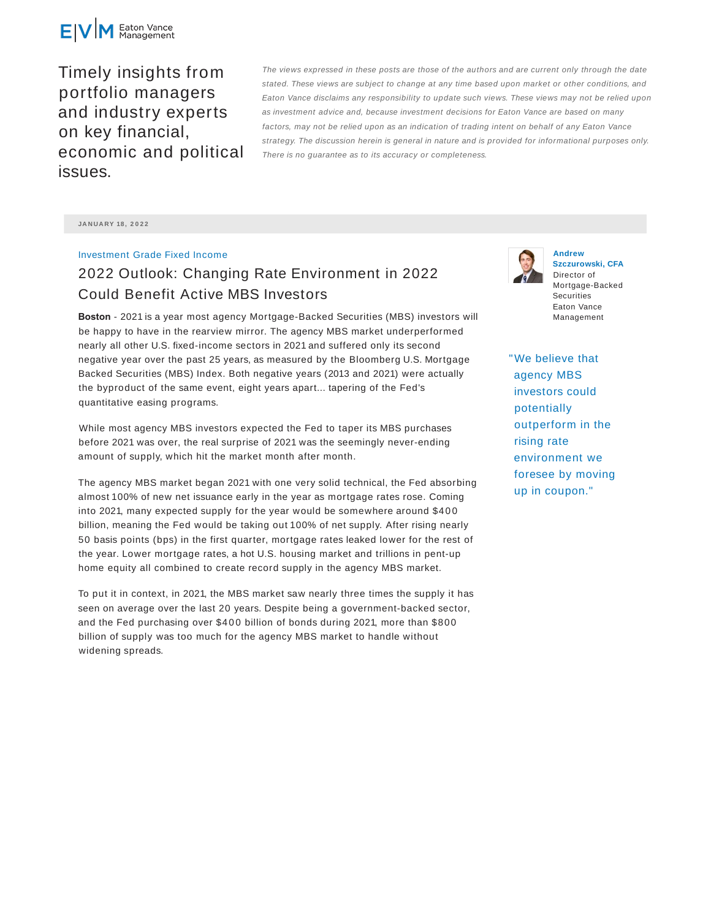

Timely insights from portfolio managers and industry experts on key financial, economic and political issues.

The views expressed in these posts are those of the authors and are current only through the date stated. These views are subject to change at any time based upon market or other conditions, and Eaton Vance disclaims any responsibility to update such views. These views may not be relied upon as investment advice and, because investment decisions for Eaton Vance are based on many factors, may not be relied upon as an indication of trading intent on behalf of any Eaton Vance strategy. The discussion herein is general in nature and is provided for informational purposes only. There is no guarantee as to its accuracy or completeness.

**JA N UA RY 18 , 2 0 2 2**

## Investment Grade Fixed Income

## 2022 Outlook: Changing Rate Environment in 2022 Could Benefit Active MBS Investors

**Boston** - 2021 is a year most agency Mortgage-Backed Securities (MBS) investors will be happy to have in the rearview mirror. The agency MBS market underperformed nearly all other U.S. fixed-income sectors in 2021 and suffered only its second negative year over the past 25 years, as measured by the Bloomberg U.S. Mortgage Backed Securities (MBS) Index. Both negative years (2013 and 2021) were actually the byproduct of the same event, eight years apart... tapering of the Fed's quantitative easing programs.

While most agency MBS investors expected the Fed to taper its MBS purchases before 2021 was over, the real surprise of 2021 was the seemingly never-ending amount of supply, which hit the market month after month.

The agency MBS market began 2021 with one very solid technical, the Fed absorbing almost 100% of new net issuance early in the year as mortgage rates rose. Coming into 2021, many expected supply for the year would be somewhere around \$400 billion, meaning the Fed would be taking out 100% of net supply. After rising nearly 50 basis points (bps) in the first quarter, mortgage rates leaked lower for the rest of the year. Lower mortgage rates, a hot U.S. housing market and trillions in pent-up home equity all combined to create record supply in the agency MBS market.

To put it in context, in 2021, the MBS market saw nearly three times the supply it has seen on average over the last 20 years. Despite being a government-backed sector, and the Fed purchasing over \$40 0 billion of bonds during 2021, more than \$800 billion of supply was too much for the agency MBS market to handle without widening spreads.



**Andrew Szczurowski, CFA** Director of Mortgage-Backed **Securities** Eaton Vance Management

"We believe that agency MBS investors could potentially outperform in the rising rate environment we foresee by moving up in coupon."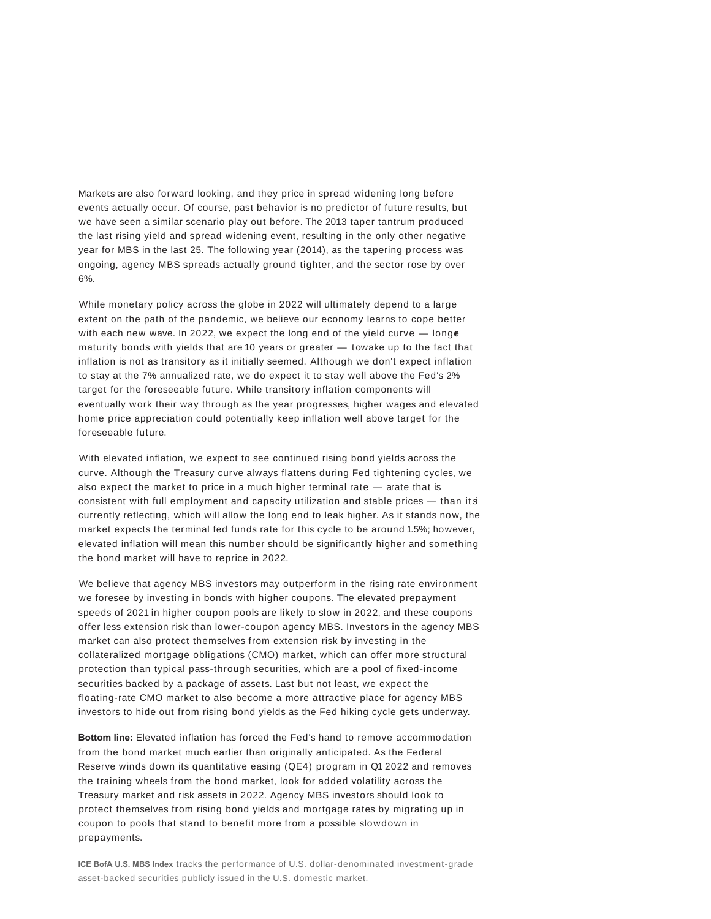Markets are also forward looking, and they price in spread widening long before events actually occur. Of course, past behavior is no predictor of future results, but we have seen a similar scenario play out before. The 2013 taper tantrum produced the last rising yield and spread widening event, resulting in the only other negative year for MBS in the last 25. The following year (2014), as the tapering process was ongoing, agency MBS spreads actually ground tighter, and the sector rose by over 6%.

While monetary policy across the globe in 2022 will ultimately depend to a large extent on the path of the pandemic, we believe our economy learns to cope better with each new wave. In 2022, we expect the long end of the yield curve  $-$  longer maturity bonds with yields that are 10 years or greater  $-$  towake up to the fact that inflation is not as transitory as it initially seemed. Although we don't expect inflation to stay at the 7% annualized rate, we do expect it to stay well above the Fed's 2% target for the foreseeable future. While transitory inflation components will eventually work their way through as the year progresses, higher wages and elevated home price appreciation could potentially keep inflation well above target for the foreseeable future.

With elevated inflation, we expect to see continued rising bond yields across the curve. Although the Treasury curve always flattens during Fed tightening cycles, we also expect the market to price in a much higher terminal rate  $-$  arate that is consistent with full employment and capacity utilization and stable prices — than its currently reflecting, which will allow the long end to leak higher. As it stands now, the market expects the terminal fed funds rate for this cycle to be around 1.5%; however, elevated inflation will mean this number should be significantly higher and something the bond market will have to reprice in 2022.

We believe that agency MBS investors may outperform in the rising rate environment we foresee by investing in bonds with higher coupons. The elevated prepayment speeds of 2021 in higher coupon pools are likely to slow in 2022, and these coupons offer less extension risk than lower-coupon agency MBS. Investors in the agency MBS market can also protect themselves from extension risk by investing in the collateralized mortgage obligations (CMO) market, which can offer more structural protection than typical pass-through securities, which are a pool of fixed-income securities backed by a package of assets. Last but not least, we expect the floating-rate CMO market to also become a more attractive place for agency MBS investors to hide out from rising bond yields as the Fed hiking cycle gets underway.

**Bottom line:** Elevated inflation has forced the Fed's hand to remove accommodation from the bond market much earlier than originally anticipated. As the Federal Reserve winds down its quantitative easing (QE4) program in Q1 2022 and removes the training wheels from the bond market, look for added volatility across the Treasury market and risk assets in 2022. Agency MBS investors should look to protect themselves from rising bond yields and mortgage rates by migrating up in coupon to pools that stand to benefit more from a possible slowdown in prepayments.

**ICE BofA U.S. MBS Index** tracks the performance of U.S. dollar-denominated investment-grade asset-backed securities publicly issued in the U.S. domestic market.